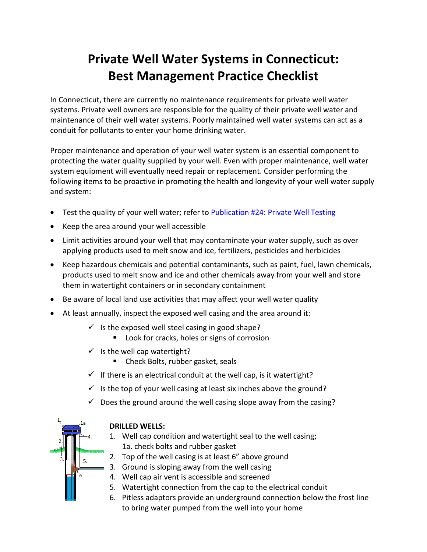## **Private Well Water Systems in Connecticut: Best Management Practice Checklist**

In Connecticut, there are currently no maintenance requirements for private well water systems. Private well owners are responsible for the quality of their private well water and maintenance of their well water systems. Poorly maintained well water systems can act as a conduit for pollutants to enter your home drinking water.

Proper maintenance and operation of your well water system is an essential component to protecting the water quality supplied by your well. Even with proper maintenance, well water system equipment will eventually need repair or replacement. Consider performing the following items to be proactive in promoting the health and longevity of your well water supply and system:

- Test the quality of your well water; refer to Publication #24: [Private Well Testing](https://portal.ct.gov/-/media/Departments-and-Agencies/DPH/dph/environmental_health/private_wells/Publications/24PrivateWellTesting519.pdf?la=en)
- Keep the area around your well accessible
- Limit activities around your well that may contaminate your water supply, such as over applying products used to melt snow and ice, fertilizers, pesticides and herbicides
- Keep hazardous chemicals and potential contaminants, such as paint, fuel, lawn chemicals, products used to melt snow and ice and other chemicals away from your well and store them in watertight containers or in secondary containment
- Be aware of local land use activities that may affect your well water quality
- At least annually, inspect the exposed well casing and the area around it:
	- $\checkmark$  is the exposed well steel casing in good shape?
		- Look for cracks, holes or signs of corrosion
	- $\checkmark$  is the well cap watertight?
		- Check Bolts, rubber gasket, seals
	- $\checkmark$  If there is an electrical conduit at the well cap, is it watertight?
	- $\checkmark$  is the top of your well casing at least six inches above the ground?
	- $\checkmark$  Does the ground around the well casing slope away from the casing?



## **DRILLED WELLS:**

- 1. Well cap condition and watertight seal to the well casing; 1a. check bolts and rubber gasket
- 2. Top of the well casing is at least 6" above ground
- 3. Ground is sloping away from the well casing
- 4. Well cap air vent is accessible and screened
- 5. Watertight connection from the cap to the electrical conduit
- 6. Pitless adaptors provide an underground connection below the frost line to bring water pumped from the well into your home